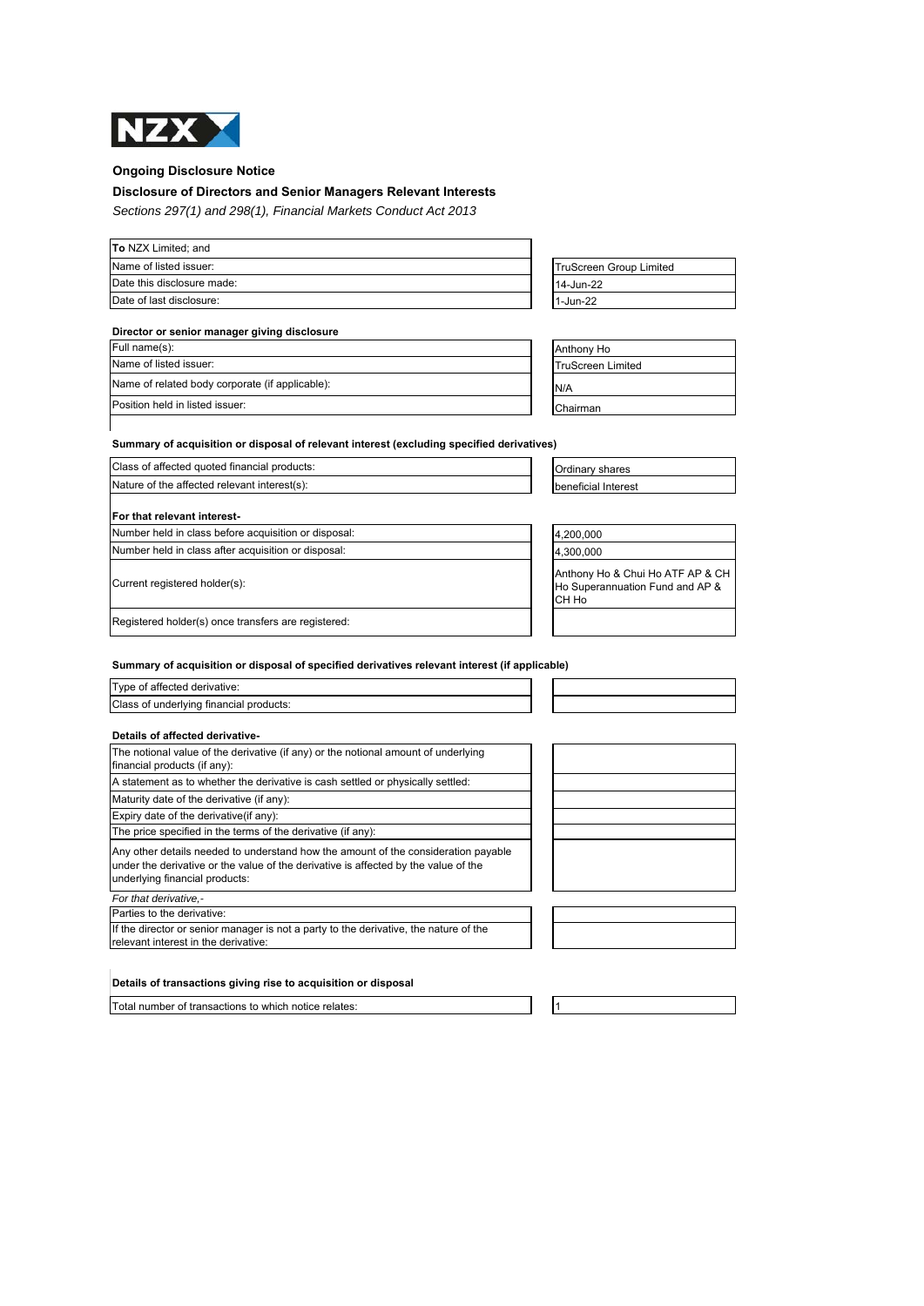

# **Ongoing Disclosure Notice**

# **Disclosure of Directors and Senior Managers Relevant Interests**

*Sections 297(1) and 298(1), Financial Markets Conduct Act 2013*

| <b>To NZX Limited: and</b> |                         |
|----------------------------|-------------------------|
| Name of listed issuer:     | TruScreen Group Limited |
| Date this disclosure made: | 14-Jun-22               |
| Date of last disclosure:   | 1-Jun-22                |

# **Director or senior manager giving disclosure**

| Full name(s):                                   | Anthony Ho               |
|-------------------------------------------------|--------------------------|
| Name of listed issuer:                          | <b>TruScreen Limited</b> |
| Name of related body corporate (if applicable): | N/A                      |
| Position held in listed issuer:                 | Chairman                 |

| TruScreen Group Limited |  |
|-------------------------|--|
| 14-Jun-22               |  |
| 1-Jun-22                |  |
|                         |  |

| Anthony Ho               |
|--------------------------|
| <b>TruScreen Limited</b> |
| N/A                      |
| Chairman                 |

# **Summary of acquisition or disposal of relevant interest (excluding specified derivatives)**

| Class of affected quoted financial products:         | <b>Ordinary shares</b> |
|------------------------------------------------------|------------------------|
| Nature of the affected relevant interest(s):         | beneficial Interest    |
| <b>For that relevant interest-</b>                   |                        |
| Number held in class before acquisition or disposal: | 4,200,000              |
| Number held in class after acquisition or disposal:  | 4,300,000              |
|                                                      |                        |

Current registered holder(s):

| Anthony Ho & Chui Ho ATF AP & CH |
|----------------------------------|
| Ho Superannuation Fund and AP &  |
| CH Ho                            |
|                                  |

Registered holder(s) once transfers are registered:

# **Summary of acquisition or disposal of specified derivatives relevant interest (if applicable)**

| Type of affected derivative:<br>Class of underlying financial products: |  |  |  |
|-------------------------------------------------------------------------|--|--|--|

relevant interest in the derivative:

| Details of affected derivative-                                                                                                                                                                             |  |
|-------------------------------------------------------------------------------------------------------------------------------------------------------------------------------------------------------------|--|
| The notional value of the derivative (if any) or the notional amount of underlying<br>financial products (if any):                                                                                          |  |
| A statement as to whether the derivative is cash settled or physically settled:                                                                                                                             |  |
| Maturity date of the derivative (if any):                                                                                                                                                                   |  |
| Expiry date of the derivative (if any):                                                                                                                                                                     |  |
| The price specified in the terms of the derivative (if any):                                                                                                                                                |  |
| Any other details needed to understand how the amount of the consideration payable<br>under the derivative or the value of the derivative is affected by the value of the<br>underlying financial products: |  |
| For that derivative.-                                                                                                                                                                                       |  |
| Parties to the derivative:                                                                                                                                                                                  |  |
| If the director or senior manager is not a party to the derivative, the nature of the                                                                                                                       |  |

# **Details of transactions giving rise to acquisition or disposal**

Total number of transactions to which notice relates: 1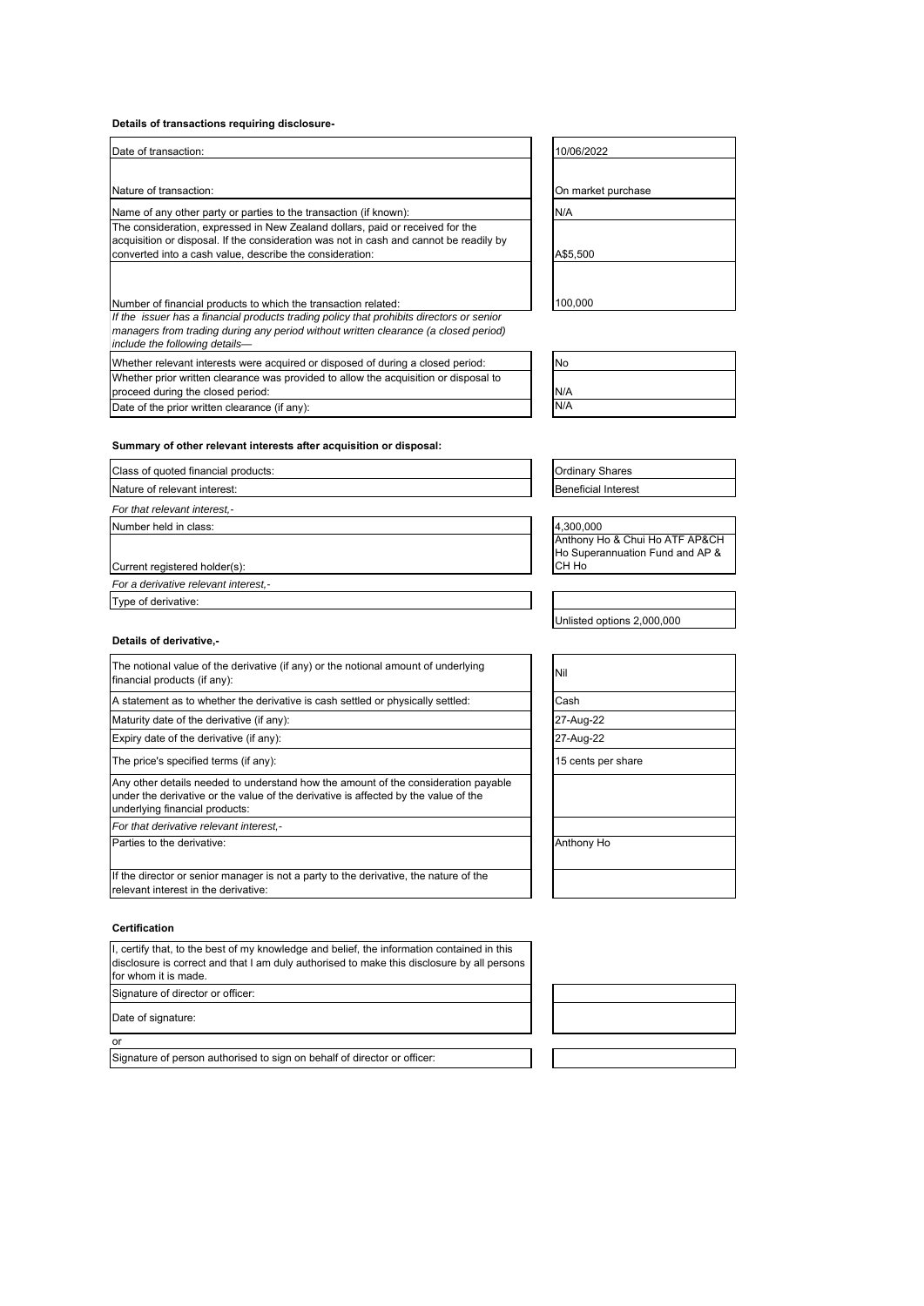# **Details of transactions requiring disclosure-**

| Date of transaction:                                                                                                                                                                                                                | 10/06/2022         |
|-------------------------------------------------------------------------------------------------------------------------------------------------------------------------------------------------------------------------------------|--------------------|
| Nature of transaction:                                                                                                                                                                                                              | On market purchase |
| Name of any other party or parties to the transaction (if known):                                                                                                                                                                   | N/A                |
| The consideration, expressed in New Zealand dollars, paid or received for the<br>acquisition or disposal. If the consideration was not in cash and cannot be readily by<br>converted into a cash value, describe the consideration: | A\$5.500           |
| Number of financial products to which the transaction related:                                                                                                                                                                      | 100.000            |
| If the issuer has a financial products trading policy that prohibits directors or senior                                                                                                                                            |                    |

managers from trading during any period without written clearance (a closed period) *include the following details—* Whether relevant interests were acquired or disposed of during a closed period:

Whether prior written clearance was provided to allow the acquisition or disposal to proceed during the closed period: Date of the prior written clearance (if any):

| 10/06/2022         |
|--------------------|
|                    |
| On market purchase |
| N/A                |
|                    |
| A\$5,500           |
|                    |
| 100.00             |

| <b>No</b> |  |  |
|-----------|--|--|
| N/A       |  |  |
| N/A       |  |  |

# **Summary of other relevant interests after acquisition or disposal:**

| Class of quoted financial products:  | <b>Ordinary Shares</b>     |
|--------------------------------------|----------------------------|
| Nature of relevant interest:         | <b>Beneficial Interest</b> |
| For that relevant interest,-         |                            |
| Number held in class:                | 4,300,000                  |
|                                      | Anthony Ho & Ch            |
|                                      | Ho Superannuatio           |
| Current registered holder(s):        | CH Ho                      |
| For a derivative relevant interest,- |                            |
| Type of derivative:                  |                            |
|                                      |                            |

& Chui Ho ATF AP&CH huation Fund and AP &

Unlisted options 2,000,000

| The notional value of the derivative (if any) or the notional amount of underlying<br>financial products (if any):                                                                                          | Nil                |
|-------------------------------------------------------------------------------------------------------------------------------------------------------------------------------------------------------------|--------------------|
| A statement as to whether the derivative is cash settled or physically settled:                                                                                                                             | Cash               |
| Maturity date of the derivative (if any):                                                                                                                                                                   | 27-Aug-22          |
| Expiry date of the derivative (if any):                                                                                                                                                                     | 27-Aug-22          |
| The price's specified terms (if any):                                                                                                                                                                       | 15 cents per share |
| Any other details needed to understand how the amount of the consideration payable<br>under the derivative or the value of the derivative is affected by the value of the<br>underlying financial products: |                    |
| For that derivative relevant interest,-                                                                                                                                                                     |                    |
| Parties to the derivative:<br>Anthony Ho                                                                                                                                                                    |                    |
| If the director or senior manager is not a party to the derivative, the nature of the<br>relevant interest in the derivative:                                                                               |                    |
|                                                                                                                                                                                                             |                    |

#### **Certification**

**Details of derivative,-**

| I, certify that, to the best of my knowledge and belief, the information contained in this |
|--------------------------------------------------------------------------------------------|
| disclosure is correct and that I am duly authorised to make this disclosure by all persons |
| for whom it is made.                                                                       |
| Signature of director or officer:                                                          |
|                                                                                            |

Date of signature:

or

Signature of person authorised to sign on behalf of director or officer: